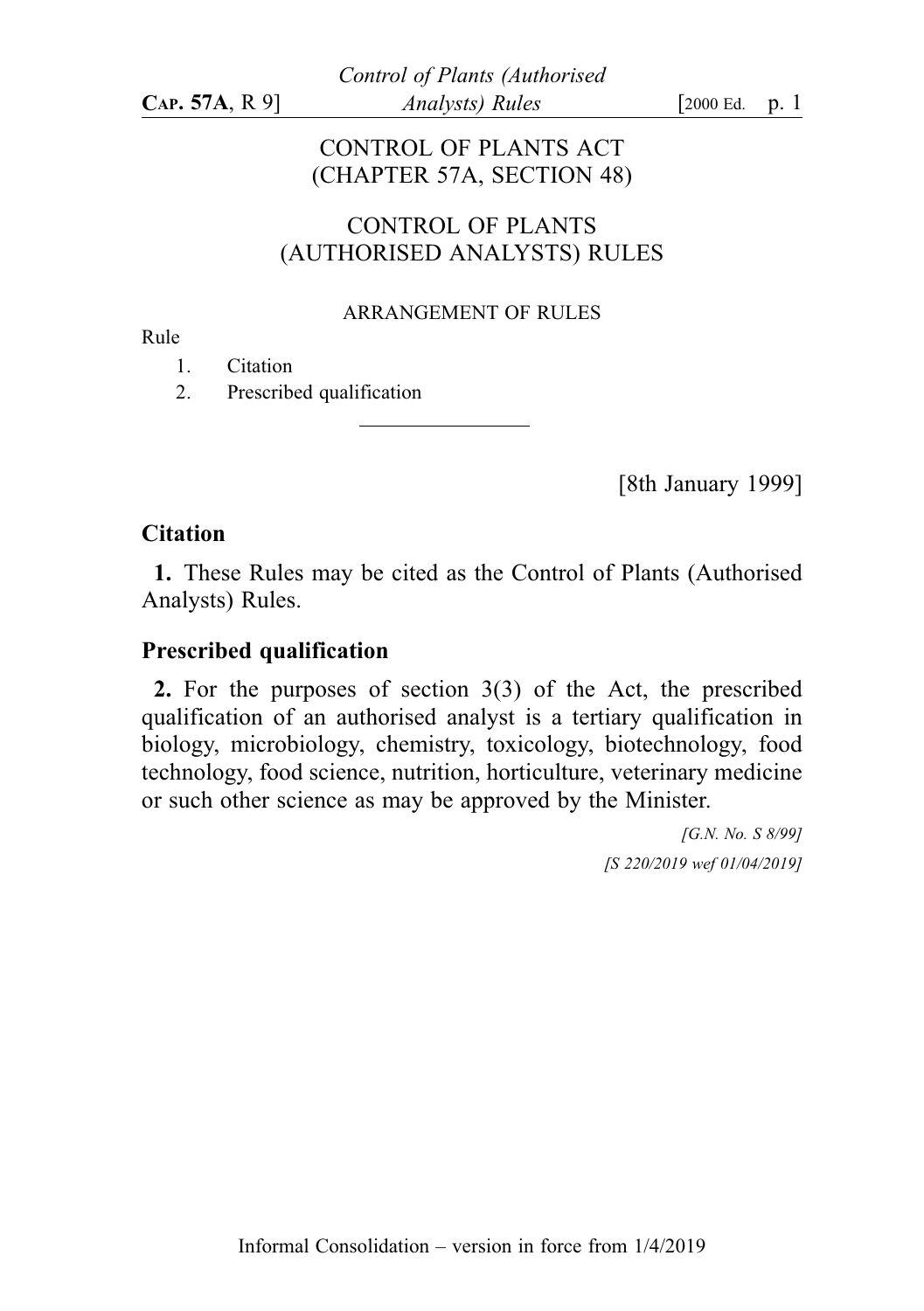# CONTROL OF PLANTS ACT (CHAPTER 57A, SECTION 48)

## CONTROL OF PLANTS (AUTHORISED ANALYSTS) RULES

#### ARRANGEMENT OF RULES

Rule

1. Citation

2. Prescribed qualification

[8th January 1999]

### **Citation**

1. These Rules may be cited as the Control of Plants (Authorised Analysts) Rules.

## Prescribed qualification

2. For the purposes of section 3(3) of the Act, the prescribed qualification of an authorised analyst is a tertiary qualification in biology, microbiology, chemistry, toxicology, biotechnology, food technology, food science, nutrition, horticulture, veterinary medicine or such other science as may be approved by the Minister.

> [G.N. No. S 8/99] [S 220/2019 wef 01/04/2019]